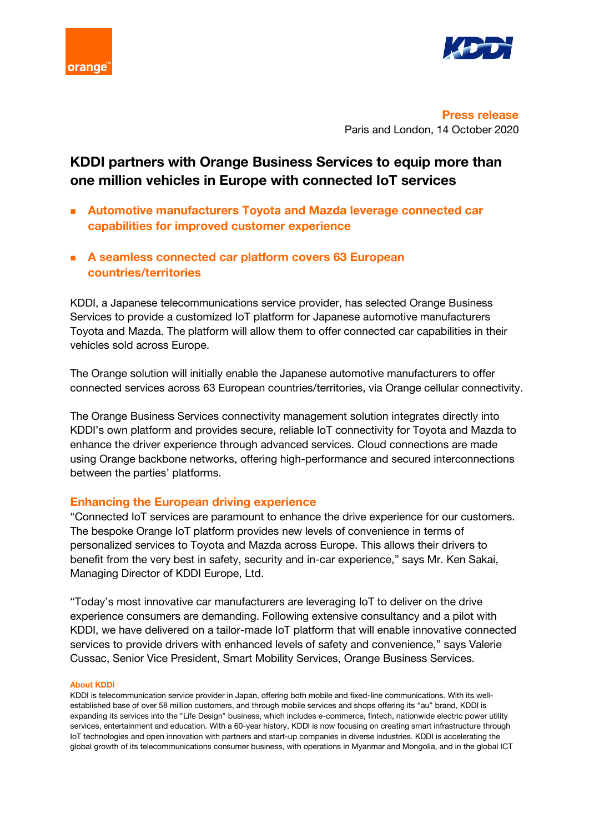



**Press release** Paris and London, 14 October 2020

# **KDDI partners with Orange Business Services to equip more than one million vehicles in Europe with connected IoT services**

- **Automotive manufacturers Toyota and Mazda leverage connected car capabilities for improved customer experience**
- **A seamless connected car platform covers 63 European countries/territories**

KDDI, a Japanese telecommunications service provider, has selected Orange Business Services to provide a customized IoT platform for Japanese automotive manufacturers Toyota and Mazda. The platform will allow them to offer connected car capabilities in their vehicles sold across Europe.

The Orange solution will initially enable the Japanese automotive manufacturers to offer connected services across 63 European countries/territories, via Orange cellular connectivity.

The Orange Business Services connectivity management solution integrates directly into KDDI's own platform and provides secure, reliable IoT connectivity for Toyota and Mazda to enhance the driver experience through advanced services. Cloud connections are made using Orange backbone networks, offering high-performance and secured interconnections between the parties' platforms.

## **Enhancing the European driving experience**

"Connected IoT services are paramount to enhance the drive experience for our customers. The bespoke Orange IoT platform provides new levels of convenience in terms of personalized services to Toyota and Mazda across Europe. This allows their drivers to benefit from the very best in safety, security and in-car experience," says Mr. Ken Sakai, Managing Director of KDDI Europe, Ltd.

"Today's most innovative car manufacturers are leveraging IoT to deliver on the drive experience consumers are demanding. Following extensive consultancy and a pilot with KDDI, we have delivered on a tailor-made IoT platform that will enable innovative connected services to provide drivers with enhanced levels of safety and convenience," says Valerie Cussac, Senior Vice President, Smart Mobility Services, Orange Business Services.

#### **About KDDI**

KDDI is telecommunication service provider in Japan, offering both mobile and fixed-line communications. With its wellestablished base of over 58 million customers, and through mobile services and shops offering its "au" brand, KDDI is expanding its services into the "Life Design" business, which includes e-commerce, fintech, nationwide electric power utility services, entertainment and education. With a 60-year history, KDDI is now focusing on creating smart infrastructure through IoT technologies and open innovation with partners and start-up companies in diverse industries. KDDI is accelerating the global growth of its telecommunications consumer business, with operations in Myanmar and Mongolia, and in the global ICT